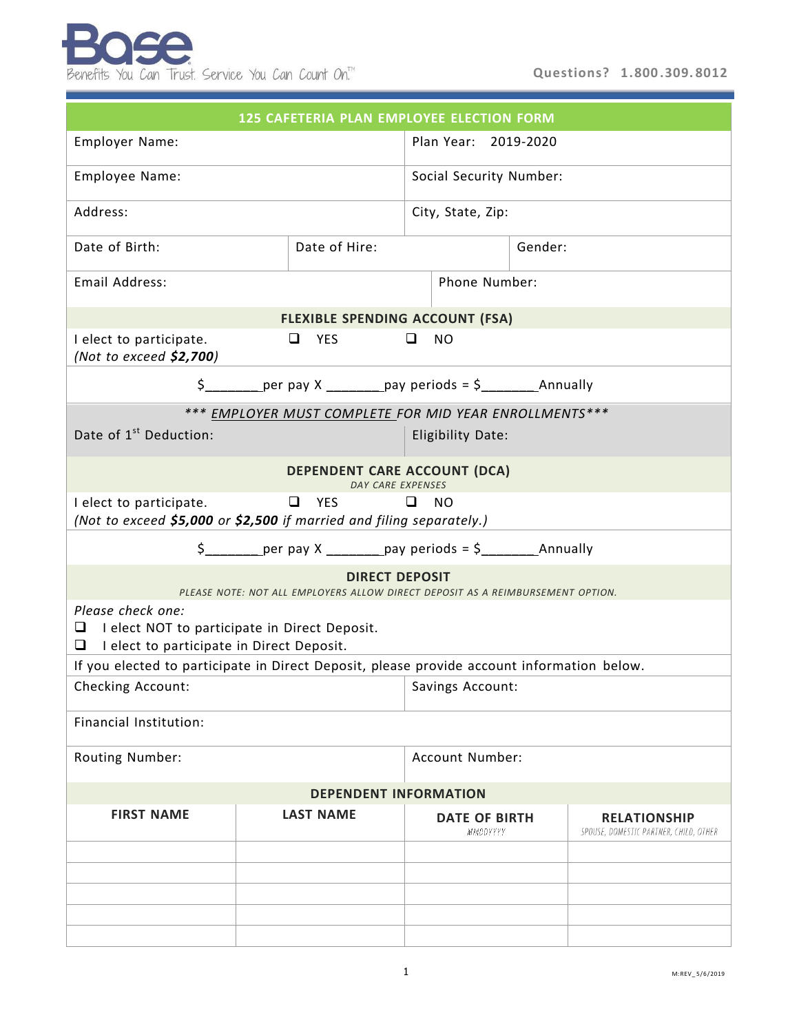| <b>125 CAFETERIA PLAN EMPLOYEE ELECTION FORM</b>                                                                          |                              |                  |                         |                                  |  |                                                               |  |  |
|---------------------------------------------------------------------------------------------------------------------------|------------------------------|------------------|-------------------------|----------------------------------|--|---------------------------------------------------------------|--|--|
| Employer Name:                                                                                                            |                              |                  |                         | Plan Year: 2019-2020             |  |                                                               |  |  |
| Employee Name:                                                                                                            |                              |                  | Social Security Number: |                                  |  |                                                               |  |  |
| Address:                                                                                                                  |                              |                  | City, State, Zip:       |                                  |  |                                                               |  |  |
| Date of Birth:                                                                                                            |                              | Date of Hire:    |                         | Gender:                          |  |                                                               |  |  |
| Email Address:                                                                                                            |                              |                  |                         | Phone Number:                    |  |                                                               |  |  |
| <b>FLEXIBLE SPENDING ACCOUNT (FSA)</b>                                                                                    |                              |                  |                         |                                  |  |                                                               |  |  |
| I elect to participate.<br>(Not to exceed \$2,700)                                                                        | $\Box$ YES<br>❏<br><b>NO</b> |                  |                         |                                  |  |                                                               |  |  |
|                                                                                                                           |                              |                  |                         |                                  |  |                                                               |  |  |
| *** EMPLOYER MUST COMPLETE FOR MID YEAR ENROLLMENTS***                                                                    |                              |                  |                         |                                  |  |                                                               |  |  |
| Date of 1 <sup>st</sup> Deduction:                                                                                        |                              |                  |                         | <b>Eligibility Date:</b>         |  |                                                               |  |  |
| <b>DEPENDENT CARE ACCOUNT (DCA)</b><br>DAY CARE EXPENSES                                                                  |                              |                  |                         |                                  |  |                                                               |  |  |
| I elect to participate.<br>(Not to exceed \$5,000 or \$2,500 if married and filing separately.)                           |                              | $\Box$<br>YES    | □                       | <b>NO</b>                        |  |                                                               |  |  |
|                                                                                                                           |                              |                  |                         |                                  |  |                                                               |  |  |
| <b>DIRECT DEPOSIT</b><br>PLEASE NOTE: NOT ALL EMPLOYERS ALLOW DIRECT DEPOSIT AS A REIMBURSEMENT OPTION.                   |                              |                  |                         |                                  |  |                                                               |  |  |
| Please check one:<br>□<br>I elect NOT to participate in Direct Deposit.<br>I elect to participate in Direct Deposit.<br>⊔ |                              |                  |                         |                                  |  |                                                               |  |  |
| If you elected to participate in Direct Deposit, please provide account information below.                                |                              |                  |                         |                                  |  |                                                               |  |  |
| Checking Account:                                                                                                         |                              |                  |                         | Savings Account:                 |  |                                                               |  |  |
| Financial Institution:                                                                                                    |                              |                  |                         |                                  |  |                                                               |  |  |
| Routing Number:                                                                                                           |                              |                  | Account Number:         |                                  |  |                                                               |  |  |
| <b>DEPENDENT INFORMATION</b>                                                                                              |                              |                  |                         |                                  |  |                                                               |  |  |
| <b>FIRST NAME</b>                                                                                                         |                              | <b>LAST NAME</b> |                         | <b>DATE OF BIRTH</b><br>MMDDYYYY |  | <b>RELATIONSHIP</b><br>SPOUSE, DOMESTIC PARTNER, CHILD, OTHER |  |  |
|                                                                                                                           |                              |                  |                         |                                  |  |                                                               |  |  |
|                                                                                                                           |                              |                  |                         |                                  |  |                                                               |  |  |
|                                                                                                                           |                              |                  |                         |                                  |  |                                                               |  |  |
|                                                                                                                           |                              |                  |                         |                                  |  |                                                               |  |  |
|                                                                                                                           |                              |                  |                         |                                  |  |                                                               |  |  |